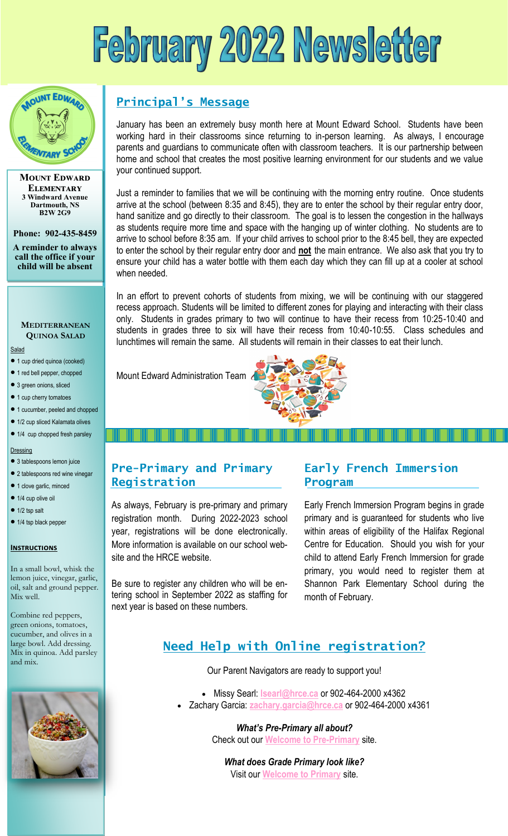# February 2022 Newsletter



**Mount Edward Elementary 3 Windward Avenue Dartmouth, NS B2W 2G9**

**Phone: 902-435-8459**

**A reminder to always call the office if your child will be absent** 

### **MEDITERRANEAN QUINOA SALAD**

Salad

- 1 cup dried quinoa (cooked)
- 1 red bell pepper, chopped
- 3 green onions, sliced
- 1 cup cherry tomatoes
- 1 cucumber, peeled and chopped
- 1/2 cup sliced Kalamata olives

#### • 1/4 cup chopped fresh parsley

**Dressing** 

- 3 tablespoons lemon juice • 2 tablespoons red wine vinegar
- 1 clove garlic, minced
- 1/4 cup olive oil
- $\bullet$  1/2 tsp salt
- 
- 1/4 tsp black pepper

#### **Instructions**

In a small bowl, whisk the lemon juice, vinegar, garlic, oil, salt and ground pepper. Mix well.

Combine red peppers, green onions, tomatoes, cucumber, and olives in a large bowl. Add dressing. Mix in quinoa. Add parsley and mix.



# **Principal's Message**

January has been an extremely busy month here at Mount Edward School. Students have been working hard in their classrooms since returning to in-person learning. As always, I encourage parents and guardians to communicate often with classroom teachers. It is our partnership between home and school that creates the most positive learning environment for our students and we value your continued support.

Just a reminder to families that we will be continuing with the morning entry routine. Once students arrive at the school (between 8:35 and 8:45), they are to enter the school by their regular entry door, hand sanitize and go directly to their classroom. The goal is to lessen the congestion in the hallways as students require more time and space with the hanging up of winter clothing. No students are to arrive to school before 8:35 am. If your child arrives to school prior to the 8:45 bell, they are expected to enter the school by their regular entry door and **not** the main entrance. We also ask that you try to ensure your child has a water bottle with them each day which they can fill up at a cooler at school when needed.

In an effort to prevent cohorts of students from mixing, we will be continuing with our staggered recess approach. Students will be limited to different zones for playing and interacting with their class only. Students in grades primary to two will continue to have their recess from 10:25-10:40 and students in grades three to six will have their recess from 10:40-10:55. Class schedules and lunchtimes will remain the same. All students will remain in their classes to eat their lunch.

Mount Edward Administration Team



# **Pre-Primary and Primary Registration**

As always, February is pre-primary and primary registration month. During 2022-2023 school year, registrations will be done electronically. More information is available on our school website and the HRCE website.

Be sure to register any children who will be entering school in September 2022 as staffing for next year is based on these numbers.

## **Early French Immersion Program**

Early French Immersion Program begins in grade primary and is guaranteed for students who live within areas of eligibility of the Halifax Regional Centre for Education. Should you wish for your child to attend Early French Immersion for grade primary, you would need to register them at Shannon Park Elementary School during the month of February.

# **Need Help with Online registration?**

Our Parent Navigators are ready to support you!

- Missy Searl: **[lsearl@hrce.ca](mailto:lsearl@hrce.ca)** or 902-464-2000 x4362
- Zachary Garcia: **[zachary.garcia@hrce.ca](mailto:zachary.garcia@hrce.ca)** or 902-464-2000 x4361

*What's Pre-Primary all about?* Check out our **[Welcome to Pre-Primary](https://sites.google.com/gnspes.ca/welcometothehrce/welcome-to-pre-primary)** site.

*What does Grade Primary look like?*  Visit our **[Welcome to Primary](https://sites.google.com/gnspes.ca/welcometothehrce/welcome-to-primary?authuser=0)** site.